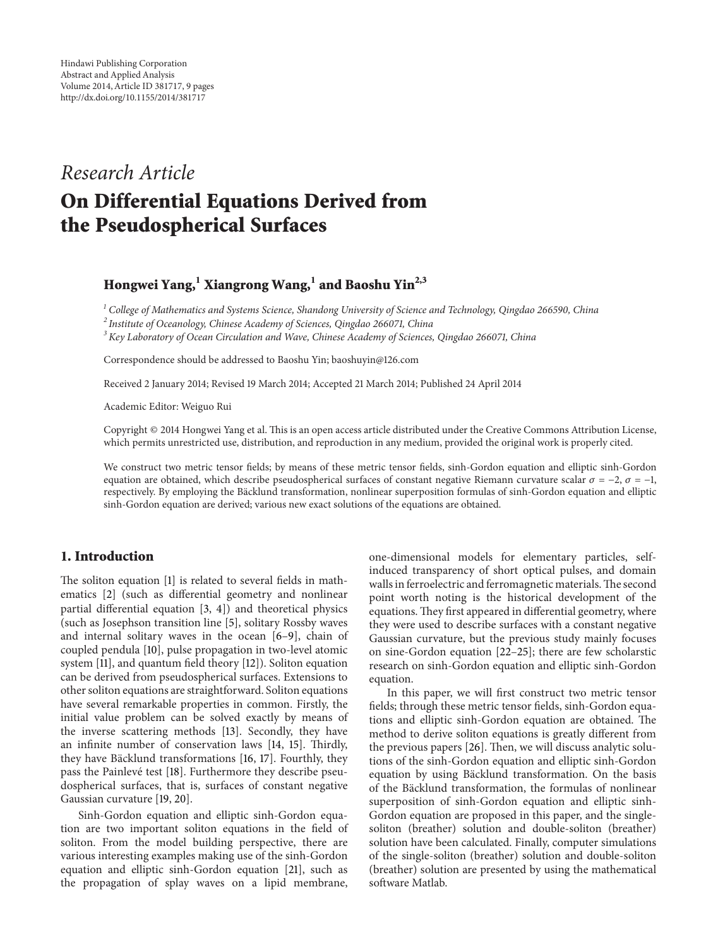# *Research Article*

# **On Differential Equations Derived from the Pseudospherical Surfaces**

# **Hongwei Yang,<sup>1</sup> Xiangrong Wang,<sup>1</sup> and Baoshu Yin2,3**

*<sup>1</sup> College of Mathematics and Systems Science, Shandong University of Science and Technology, Qingdao 266590, China*

*<sup>2</sup> Institute of Oceanology, Chinese Academy of Sciences, Qingdao 266071, China*

*<sup>3</sup> Key Laboratory of Ocean Circulation and Wave, Chinese Academy of Sciences, Qingdao 266071, China*

Correspondence should be addressed to Baoshu Yin; baoshuyin@126.com

Received 2 January 2014; Revised 19 March 2014; Accepted 21 March 2014; Published 24 April 2014

Academic Editor: Weiguo Rui

Copyright © 2014 Hongwei Yang et al. This is an open access article distributed under the Creative Commons Attribution License, which permits unrestricted use, distribution, and reproduction in any medium, provided the original work is properly cited.

We construct two metric tensor fields; by means of these metric tensor fields, sinh-Gordon equation and elliptic sinh-Gordon equation are obtained, which describe pseudospherical surfaces of constant negative Riemann curvature scalar  $\sigma = -2$ ,  $\sigma = -1$ , respectively. By employing the Bäcklund transformation, nonlinear superposition formulas of sinh-Gordon equation and elliptic sinh-Gordon equation are derived; various new exact solutions of the equations are obtained.

# **1. Introduction**

The soliton equation [1] is related to several fields in mathematics [2] (such as differential geometry and nonlinear partial differential equation [3, 4]) and theoretical physics (such as Josephson transition line [5], solitary Rossby waves and internal solitary waves in the ocean [6–9], chain of coupled pendula [10], pulse propagation in two-level atomic system [11], and quantum field theory [12]). Soliton equation can be derived from pseudospherical surfaces. Extensions to other soliton equations are straightforward. Soliton equations have several remarkable properties in common. Firstly, the initial value problem can be solved exactly by means of the inverse scattering methods [13]. Secondly, they have an infinite number of conservation laws [14, 15]. Thirdly, they have Bäcklund transformations [16, 17]. Fourthly, they pass the Painlevé test [18]. Furthermore they describe pseudospherical surfaces, that is, surfaces of constant negative Gaussian curvature [19, 20].

Sinh-Gordon equation and elliptic sinh-Gordon equation are two important soliton equations in the field of soliton. From the model building perspective, there are various interesting examples making use of the sinh-Gordon equation and elliptic sinh-Gordon equation [21], such as the propagation of splay waves on a lipid membrane,

one-dimensional models for elementary particles, selfinduced transparency of short optical pulses, and domain walls in ferroelectric and ferromagnetic materials.The second point worth noting is the historical development of the equations. They first appeared in differential geometry, where they were used to describe surfaces with a constant negative Gaussian curvature, but the previous study mainly focuses on sine-Gordon equation [22–25]; there are few scholarstic research on sinh-Gordon equation and elliptic sinh-Gordon equation.

In this paper, we will first construct two metric tensor fields; through these metric tensor fields, sinh-Gordon equations and elliptic sinh-Gordon equation are obtained. The method to derive soliton equations is greatly different from the previous papers [26]. Then, we will discuss analytic solutions of the sinh-Gordon equation and elliptic sinh-Gordon equation by using Bäcklund transformation. On the basis of the Backlund transformation, the formulas of nonlinear ¨ superposition of sinh-Gordon equation and elliptic sinh-Gordon equation are proposed in this paper, and the singlesoliton (breather) solution and double-soliton (breather) solution have been calculated. Finally, computer simulations of the single-soliton (breather) solution and double-soliton (breather) solution are presented by using the mathematical software Matlab.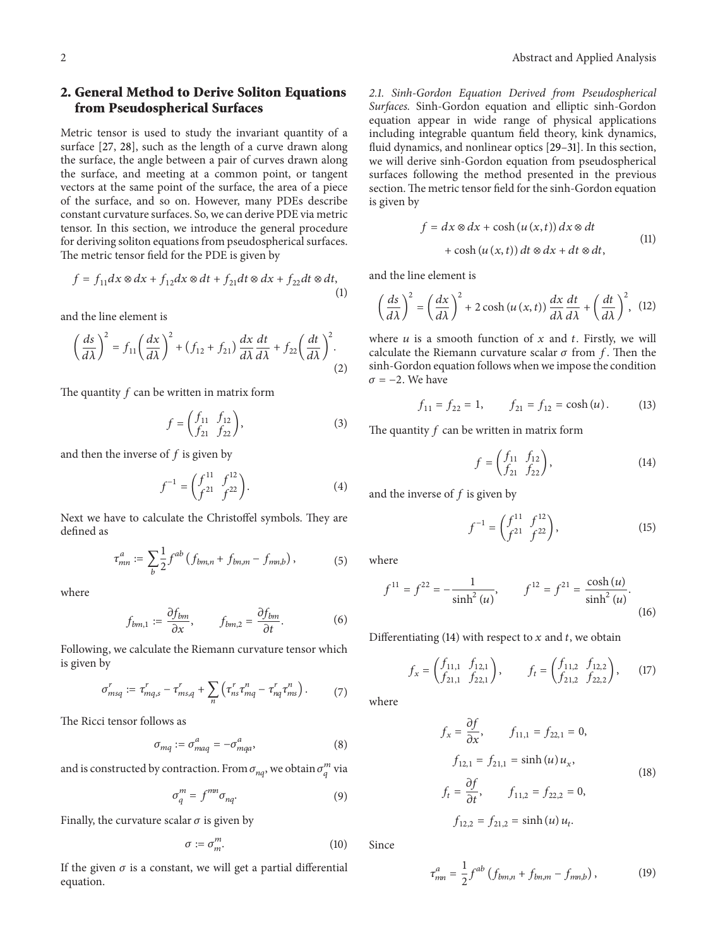# **2. General Method to Derive Soliton Equations from Pseudospherical Surfaces**

Metric tensor is used to study the invariant quantity of a surface [27, 28], such as the length of a curve drawn along the surface, the angle between a pair of curves drawn along the surface, and meeting at a common point, or tangent vectors at the same point of the surface, the area of a piece of the surface, and so on. However, many PDEs describe constant curvature surfaces. So, we can derive PDE via metric tensor. In this section, we introduce the general procedure for deriving soliton equations from pseudospherical surfaces. The metric tensor field for the PDE is given by

$$
f = f_{11}dx \otimes dx + f_{12}dx \otimes dt + f_{21}dt \otimes dx + f_{22}dt \otimes dt,
$$
\n(1)

and the line element is

$$
\left(\frac{ds}{d\lambda}\right)^2 = f_{11}\left(\frac{dx}{d\lambda}\right)^2 + (f_{12} + f_{21})\frac{dx}{d\lambda}\frac{dt}{d\lambda} + f_{22}\left(\frac{dt}{d\lambda}\right)^2.
$$
\n(2)

The quantity  $f$  can be written in matrix form

$$
f = \begin{pmatrix} f_{11} & f_{12} \\ f_{21} & f_{22} \end{pmatrix},
$$
 (3)

and then the inverse of  $f$  is given by

$$
f^{-1} = \begin{pmatrix} f^{11} & f^{12} \\ f^{21} & f^{22} \end{pmatrix}.
$$
 (4)

Next we have to calculate the Christoffel symbols. They are defined as

$$
\tau_{mn}^a := \sum_b \frac{1}{2} f^{ab} \left( f_{bm,n} + f_{bn,m} - f_{mn,b} \right),\tag{5}
$$

where

$$
f_{bm,1} := \frac{\partial f_{bm}}{\partial x}, \qquad f_{bm,2} = \frac{\partial f_{bm}}{\partial t}.
$$
 (6)

Following, we calculate the Riemann curvature tensor which is given by

$$
\sigma_{msq}^r := \tau_{mq,s}^r - \tau_{ms,q}^r + \sum_n \left( \tau_{ns}^r \tau_{mq}^n - \tau_{nq}^r \tau_{ms}^n \right). \tag{7}
$$

The Ricci tensor follows as

$$
\sigma_{mq} := \sigma^a_{maq} = -\sigma^a_{mqa},\tag{8}
$$

and is constructed by contraction. From  $\sigma_{nq}$ , we obtain  $\sigma_q^m$  via

$$
\sigma_q^m = f^{mn} \sigma_{nq}.
$$

Finally, the curvature scalar  $\sigma$  is given by

$$
\sigma := \sigma_m^m. \tag{10}
$$

If the given  $\sigma$  is a constant, we will get a partial differential equation.

*2.1. Sinh-Gordon Equation Derived from Pseudospherical Surfaces.* Sinh-Gordon equation and elliptic sinh-Gordon equation appear in wide range of physical applications including integrable quantum field theory, kink dynamics, fluid dynamics, and nonlinear optics [29–31]. In this section, we will derive sinh-Gordon equation from pseudospherical surfaces following the method presented in the previous section. The metric tensor field for the sinh-Gordon equation is given by

$$
f = dx \otimes dx + \cosh (u (x, t)) dx \otimes dt
$$
  
+ 
$$
\cosh (u (x, t)) dt \otimes dx + dt \otimes dt,
$$
 (11)

and the line element is

$$
\left(\frac{ds}{d\lambda}\right)^2 = \left(\frac{dx}{d\lambda}\right)^2 + 2\cosh\left(u\left(x,t\right)\right)\frac{dx}{d\lambda}\frac{dt}{d\lambda} + \left(\frac{dt}{d\lambda}\right)^2, \tag{12}
$$

where  $u$  is a smooth function of  $x$  and  $t$ . Firstly, we will calculate the Riemann curvature scalar  $\sigma$  from f. Then the sinh-Gordon equation follows when we impose the condition  $\sigma = -2$ . We have

$$
f_{11} = f_{22} = 1, \qquad f_{21} = f_{12} = \cosh(u). \tag{13}
$$

The quantity  $f$  can be written in matrix form

$$
f = \begin{pmatrix} f_{11} & f_{12} \\ f_{21} & f_{22} \end{pmatrix},
$$
 (14)

and the inverse of  $f$  is given by

$$
f^{-1} = \begin{pmatrix} f^{11} & f^{12} \\ f^{21} & f^{22} \end{pmatrix},
$$
 (15)

where

$$
f^{11} = f^{22} = -\frac{1}{\sinh^2(u)}, \qquad f^{12} = f^{21} = \frac{\cosh(u)}{\sinh^2(u)}.
$$
\n(16)

Differentiating (14) with respect to  $x$  and  $t$ , we obtain

$$
f_x = \begin{pmatrix} f_{11,1} & f_{12,1} \\ f_{21,1} & f_{22,1} \end{pmatrix}, \qquad f_t = \begin{pmatrix} f_{11,2} & f_{12,2} \\ f_{21,2} & f_{22,2} \end{pmatrix}, \qquad (17)
$$

where

$$
f_x = \frac{\partial f}{\partial x}, \qquad f_{11,1} = f_{22,1} = 0,
$$
  
\n
$$
f_{12,1} = f_{21,1} = \sinh(u) u_x,
$$
  
\n
$$
f_t = \frac{\partial f}{\partial t}, \qquad f_{11,2} = f_{22,2} = 0,
$$
  
\n
$$
f_{12,2} = f_{21,2} = \sinh(u) u_t.
$$
  
\n(18)

Since

$$
\tau_{mn}^a = \frac{1}{2} f^{ab} \left( f_{bm,n} + f_{bn,m} - f_{mn,b} \right), \tag{19}
$$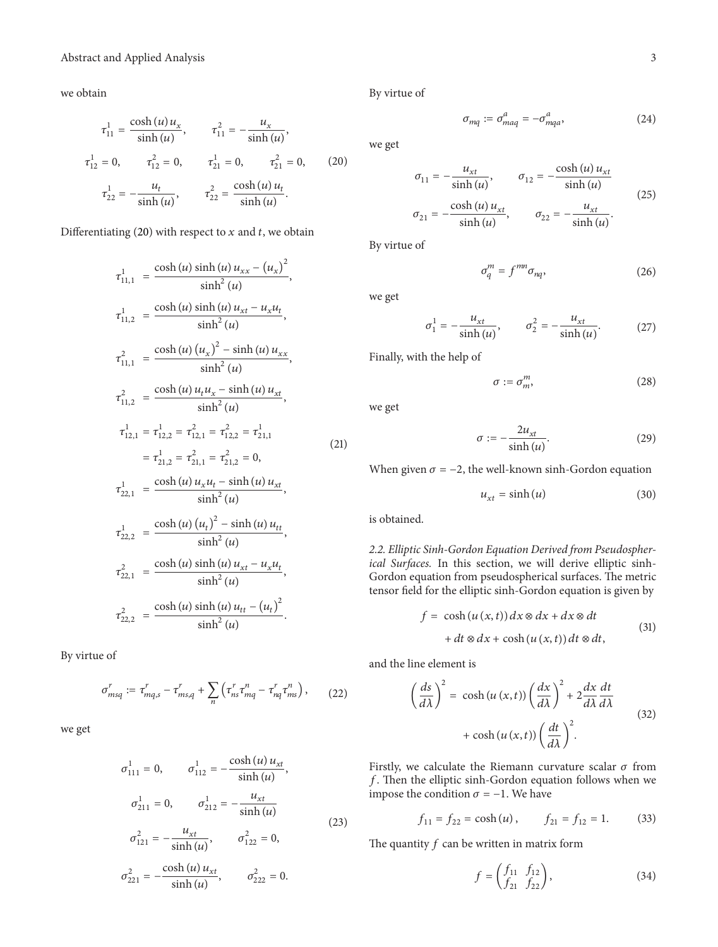we obtain

$$
\tau_{11}^{1} = \frac{\cosh(u) u_{x}}{\sinh(u)}, \qquad \tau_{11}^{2} = -\frac{u_{x}}{\sinh(u)},
$$
  

$$
\tau_{12}^{1} = 0, \qquad \tau_{12}^{2} = 0, \qquad \tau_{21}^{1} = 0, \qquad \tau_{21}^{2} = 0, \qquad (20)
$$
  

$$
\tau_{22}^{1} = -\frac{u_{t}}{\sinh(u)}, \qquad \tau_{22}^{2} = \frac{\cosh(u) u_{t}}{\sinh(u)}.
$$

Differentiating (20) with respect to  $x$  and  $t$ , we obtain

$$
\tau_{11,1}^{1} = \frac{\cosh(u)\sinh(u)u_{xx} - (u_{x})^{2}}{\sinh^{2}(u)},
$$
\n
$$
\tau_{11,2}^{1} = \frac{\cosh(u)\sinh(u)u_{xt} - u_{x}u_{t}}{\sinh^{2}(u)},
$$
\n
$$
\tau_{11,1}^{2} = \frac{\cosh(u)(u_{x})^{2} - \sinh(u)u_{xx}}{\sinh^{2}(u)},
$$
\n
$$
\tau_{11,2}^{2} = \frac{\cosh(u)u_{t}u_{x} - \sinh(u)u_{xt}}{\sinh^{2}(u)},
$$
\n
$$
\tau_{12,1}^{1} = \tau_{12,2}^{1} = \tau_{12,1}^{2} = \tau_{12,2}^{2} = \tau_{21,1}^{1}
$$
\n
$$
= \tau_{21,2}^{1} = \tau_{21,1}^{2} = \tau_{21,2}^{2} = 0,
$$
\n
$$
\tau_{22,1}^{1} = \frac{\cosh(u)u_{x}u_{t} - \sinh(u)u_{xt}}{\sinh^{2}(u)},
$$
\n
$$
\tau_{22,2}^{1} = \frac{\cosh(u)(u_{t})^{2} - \sinh(u)u_{tt}}{\sinh^{2}(u)},
$$
\n
$$
\tau_{22,1}^{2} = \frac{\cosh(u)\sinh(u)u_{xt} - u_{x}u_{t}}{\sinh^{2}(u)},
$$
\n
$$
\tau_{22,2}^{2} = \frac{\cosh(u)\sinh(u)u_{tt} - (u_{t})^{2}}{\sinh^{2}(u)},
$$
\n
$$
\tau_{22,2}^{2} = \frac{\cosh(u)\sinh(u)u_{tt} - (u_{t})^{2}}{\sinh^{2}(u)}.
$$

By virtue of

$$
\sigma_{msq}^r := \tau_{mq,s}^r - \tau_{ms,q}^r + \sum_n \left( \tau_{ns}^r \tau_{mq}^n - \tau_{nq}^r \tau_{ms}^n \right), \qquad (22)
$$

we get

$$
\sigma_{111}^{1} = 0, \qquad \sigma_{112}^{1} = -\frac{\cosh(u) u_{xt}}{\sinh(u)},
$$

$$
\sigma_{211}^{1} = 0, \qquad \sigma_{212}^{1} = -\frac{u_{xt}}{\sinh(u)};
$$

$$
\sigma_{121}^{2} = -\frac{u_{xt}}{\sinh(u)}, \qquad \sigma_{122}^{2} = 0,
$$

$$
\sigma_{221}^{2} = -\frac{\cosh(u) u_{xt}}{\sinh(u)}, \qquad \sigma_{222}^{2} = 0.
$$

$$
(23)
$$

By virtue of

$$
\sigma_{mq} := \sigma^a_{maq} = -\sigma^a_{mqa},\tag{24}
$$

we get

$$
\sigma_{11} = -\frac{u_{xt}}{\sinh(u)}, \qquad \sigma_{12} = -\frac{\cosh(u) u_{xt}}{\sinh(u)}
$$
  

$$
\sigma_{21} = -\frac{\cosh(u) u_{xt}}{\sinh(u)}, \qquad \sigma_{22} = -\frac{u_{xt}}{\sinh(u)}.
$$
 (25)

By virtue of

$$
\sigma_q^m = f^{mn} \sigma_{nq}, \qquad (26)
$$

we get

$$
\sigma_1^1 = -\frac{u_{xt}}{\sinh(u)}, \qquad \sigma_2^2 = -\frac{u_{xt}}{\sinh(u)}.\tag{27}
$$

Finally, with the help of

$$
\sigma := \sigma_m^m,\tag{28}
$$

we get

$$
\sigma := -\frac{2u_{xt}}{\sinh(u)}.\tag{29}
$$

When given  $\sigma = -2$ , the well-known sinh-Gordon equation

$$
u_{xt} = \sinh(u) \tag{30}
$$

is obtained.

*2.2. Elliptic Sinh-Gordon Equation Derived from Pseudospherical Surfaces.* In this section, we will derive elliptic sinh-Gordon equation from pseudospherical surfaces. The metric tensor field for the elliptic sinh-Gordon equation is given by

$$
f = \cosh (u (x, t)) dx \otimes dx + dx \otimes dt
$$
  
+ 
$$
dt \otimes dx + \cosh (u (x, t)) dt \otimes dt,
$$
 (31)

and the line element is

$$
\left(\frac{ds}{d\lambda}\right)^2 = \cosh(u(x,t))\left(\frac{dx}{d\lambda}\right)^2 + 2\frac{dx}{d\lambda}\frac{dt}{d\lambda}
$$

$$
+ \cosh(u(x,t))\left(\frac{dt}{d\lambda}\right)^2.
$$
(32)

Firstly, we calculate the Riemann curvature scalar  $\sigma$  from  $f$ . Then the elliptic sinh-Gordon equation follows when we impose the condition  $\sigma = -1$ . We have

$$
f_{11} = f_{22} = \cosh(u), \qquad f_{21} = f_{12} = 1. \tag{33}
$$

The quantity  $f$  can be written in matrix form

$$
f = \begin{pmatrix} f_{11} & f_{12} \\ f_{21} & f_{22} \end{pmatrix},
$$
 (34)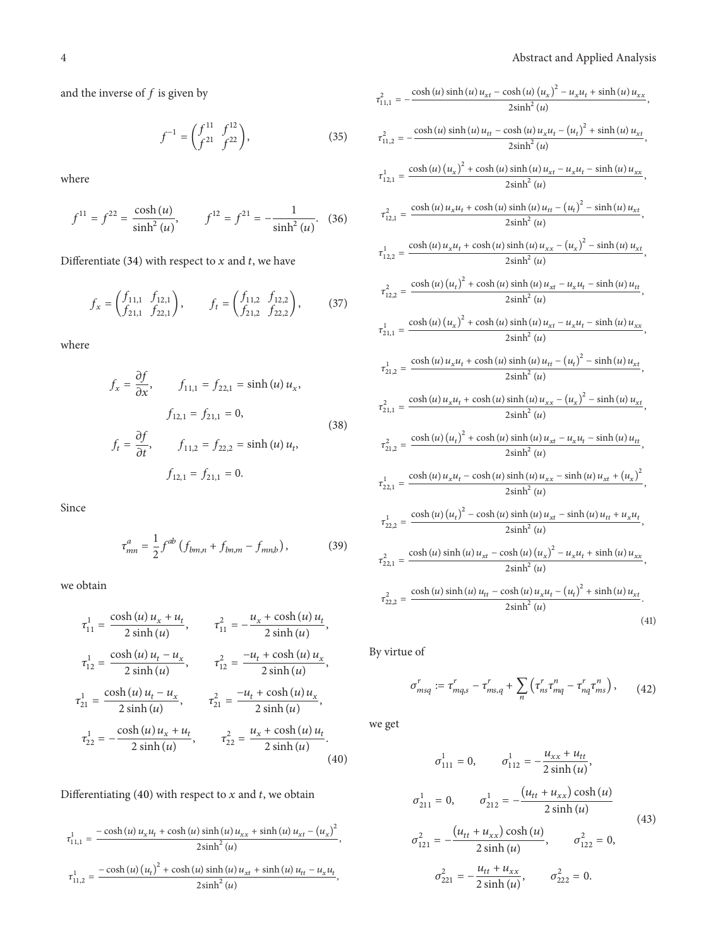and the inverse of  $f$  is given by

$$
f^{-1} = \begin{pmatrix} f^{11} & f^{12} \\ f^{21} & f^{22} \end{pmatrix},
$$
 (35)

where

$$
f^{11} = f^{22} = \frac{\cosh(u)}{\sinh^2(u)}, \qquad f^{12} = f^{21} = -\frac{1}{\sinh^2(u)}.\tag{36}
$$

Differentiate (34) with respect to  $x$  and  $t$ , we have

$$
f_x = \begin{pmatrix} f_{11,1} & f_{12,1} \\ f_{21,1} & f_{22,1} \end{pmatrix}, \qquad f_t = \begin{pmatrix} f_{11,2} & f_{12,2} \\ f_{21,2} & f_{22,2} \end{pmatrix}, \tag{37}
$$

where

$$
f_x = \frac{\partial f}{\partial x}, \qquad f_{11,1} = f_{22,1} = \sinh(u) u_x,
$$
  

$$
f_{12,1} = f_{21,1} = 0,
$$
  

$$
f_t = \frac{\partial f}{\partial t}, \qquad f_{11,2} = f_{22,2} = \sinh(u) u_t,
$$
  

$$
f_{12,1} = f_{21,1} = 0.
$$
  
(38)

Since

$$
\tau_{mn}^a = \frac{1}{2} f^{ab} \left( f_{bm,n} + f_{bn,m} - f_{mn,b} \right), \tag{39}
$$

we obtain

$$
\tau_{11}^{1} = \frac{\cosh(u) u_x + u_t}{2 \sinh(u)}, \qquad \tau_{11}^{2} = -\frac{u_x + \cosh(u) u_t}{2 \sinh(u)},
$$
  

$$
\tau_{12}^{1} = \frac{\cosh(u) u_t - u_x}{2 \sinh(u)}, \qquad \tau_{12}^{2} = \frac{-u_t + \cosh(u) u_x}{2 \sinh(u)},
$$
  

$$
\tau_{21}^{1} = \frac{\cosh(u) u_t - u_x}{2 \sinh(u)}, \qquad \tau_{21}^{2} = \frac{-u_t + \cosh(u) u_x}{2 \sinh(u)},
$$
  

$$
\tau_{22}^{1} = -\frac{\cosh(u) u_x + u_t}{2 \sinh(u)}, \qquad \tau_{22}^{2} = \frac{u_x + \cosh(u) u_t}{2 \sinh(u)}.
$$
  
(40)

Differentiating (40) with respect to  $x$  and  $t$ , we obtain

$$
\tau_{11,1}^{1} = \frac{-\cosh(u)u_{x}u_{t} + \cosh(u)\sinh(u)u_{xx} + \sinh(u)u_{xt} - (u_{x})^{2}}{2\sinh^{2}(u)},
$$
  

$$
\tau_{11,2}^{1} = \frac{-\cosh(u)(u_{t})^{2} + \cosh(u)\sinh(u)u_{xt} + \sinh(u)u_{tt} - u_{x}u_{t}}{2\sinh^{2}(u)},
$$

$$
\tau_{11,1}^{2} = -\frac{\cosh (u) \sinh (u) u_{xt} - \cosh (u) (u_{x})^{2} - u_{x} u_{t} + \sinh (u) u_{xx}}{2 \sinh^{2} (u)},
$$
\n
$$
\tau_{11,2}^{2} = -\frac{\cosh (u) \sinh (u) u_{tt} - \cosh (u) u_{x} u_{t} - (u_{t})^{2} + \sinh (u) u_{xx}}{2 \sinh^{2} (u)},
$$
\n
$$
\tau_{12,1}^{1} = \frac{\cosh (u) (u_{x})^{2} + \cosh (u) \sinh (u) u_{xt} - u_{x} u_{t} - \sinh (u) u_{xx}}{2 \sinh^{2} (u)},
$$
\n
$$
\tau_{12,1}^{2} = \frac{\cosh (u) u_{x} u_{t} + \cosh (u) \sinh (u) u_{tt} - (u_{t})^{2} - \sinh (u) u_{xx}}{2 \sinh^{2} (u)},
$$
\n
$$
\tau_{12,2}^{1} = \frac{\cosh (u) u_{x} u_{t} + \cosh (u) \sinh (u) u_{xx} - (u_{x})^{2} - \sinh (u) u_{xx}}{2 \sinh^{2} (u)},
$$
\n
$$
\tau_{12,2}^{2} = \frac{\cosh (u) (u_{t})^{2} + \cosh (u) \sinh (u) u_{xt} - u_{x} u_{t} - \sinh (u) u_{xt}}{2 \sinh^{2} (u)},
$$
\n
$$
\tau_{12,1}^{1} = \frac{\cosh (u) (u_{x})^{2} + \cosh (u) \sinh (u) u_{xt} - u_{x} u_{t} - \sinh (u) u_{xx}}{2 \sinh^{2} (u)},
$$
\n
$$
\tau_{21,1}^{1} = \frac{\cosh (u) (u_{x})^{2} + \cosh (u) \sinh (u) u_{xt} - u_{x} u_{t} - \sinh (u) u_{xx}}{2 \sinh^{2} (u)},
$$
\n
$$
\tau_{21,2}^{2} = \frac{\cosh (u) u_{x} u_{t} + \cosh (u) \sinh (u) u_{xx} - (u_{x})^{2} - \sinh (u) u_{xt}}{2 \sinh^{2} (u)},
$$

By virtue of

$$
\sigma_{msq}^r := \tau_{mq,s}^r - \tau_{ms,q}^r + \sum_n \left( \tau_{ns}^r \tau_{mq}^n - \tau_{nq}^r \tau_{ms}^n \right), \qquad (42)
$$

we get

$$
\sigma_{111}^{1} = 0, \qquad \sigma_{112}^{1} = -\frac{u_{xx} + u_{tt}}{2 \sinh(u)},
$$
  
\n
$$
\sigma_{211}^{1} = 0, \qquad \sigma_{212}^{1} = -\frac{(u_{tt} + u_{xx}) \cosh(u)}{2 \sinh(u)};
$$
  
\n
$$
\sigma_{121}^{2} = -\frac{(u_{tt} + u_{xx}) \cosh(u)}{2 \sinh(u)}, \qquad \sigma_{122}^{2} = 0,
$$
  
\n
$$
\sigma_{221}^{2} = -\frac{u_{tt} + u_{xx}}{2 \sinh(u)}, \qquad \sigma_{222}^{2} = 0.
$$
\n(43)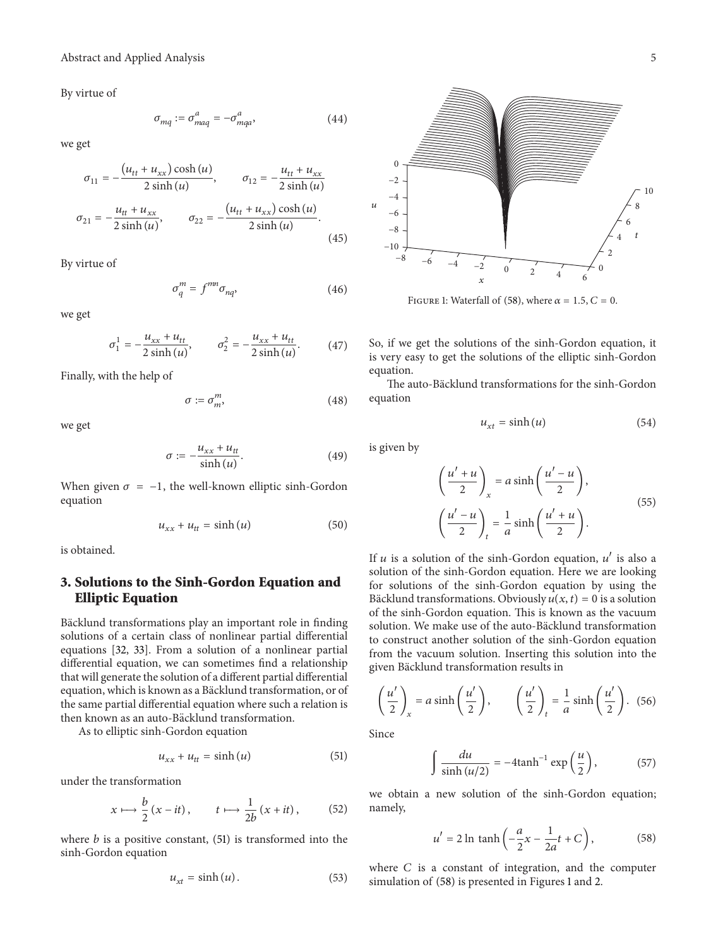By virtue of

$$
\sigma_{mq} := \sigma_{maq}^a = -\sigma_{mqa}^a,\tag{44}
$$

we get

$$
\sigma_{11} = -\frac{(u_{tt} + u_{xx})\cosh(u)}{2\sinh(u)}, \qquad \sigma_{12} = -\frac{u_{tt} + u_{xx}}{2\sinh(u)}
$$

$$
\sigma_{21} = -\frac{u_{tt} + u_{xx}}{2\sinh(u)}, \qquad \sigma_{22} = -\frac{(u_{tt} + u_{xx})\cosh(u)}{2\sinh(u)}.
$$
(45)

By virtue of

$$
\sigma_q^m = f^{mn} \sigma_{nq}, \qquad (46)
$$

we get

$$
\sigma_1^1 = -\frac{u_{xx} + u_{tt}}{2\sinh(u)}, \qquad \sigma_2^2 = -\frac{u_{xx} + u_{tt}}{2\sinh(u)}.\tag{47}
$$

Finally, with the help of

$$
\sigma := \sigma_m^m,\tag{48}
$$

we get

$$
\sigma := -\frac{u_{xx} + u_{tt}}{\sinh(u)}.\tag{49}
$$

When given  $\sigma = -1$ , the well-known elliptic sinh-Gordon equation

$$
u_{xx} + u_{tt} = \sinh(u) \tag{50}
$$

is obtained.

# **3. Solutions to the Sinh-Gordon Equation and Elliptic Equation**

Bäcklund transformations play an important role in finding solutions of a certain class of nonlinear partial differential equations [32, 33]. From a solution of a nonlinear partial differential equation, we can sometimes find a relationship that will generate the solution of a different partial differential equation, which is known as a Bäcklund transformation, or of the same partial differential equation where such a relation is then known as an auto-Bäcklund transformation.

As to elliptic sinh-Gordon equation

$$
u_{xx} + u_{tt} = \sinh(u) \tag{51}
$$

under the transformation

$$
x \longmapsto \frac{b}{2} (x - it), \qquad t \longmapsto \frac{1}{2b} (x + it), \qquad (52)
$$

where  $b$  is a positive constant, (51) is transformed into the sinh-Gordon equation

$$
u_{xt} = \sinh(u). \tag{53}
$$



FIGURE 1: Waterfall of (58), where  $\alpha = 1.5$ ,  $C = 0$ .

So, if we get the solutions of the sinh-Gordon equation, it is very easy to get the solutions of the elliptic sinh-Gordon equation.

The auto-Bäcklund transformations for the sinh-Gordon equation

$$
u_{xt} = \sinh(u) \tag{54}
$$

is given by

$$
\left(\frac{u' + u}{2}\right)_x = a \sinh\left(\frac{u' - u}{2}\right),
$$
\n
$$
\left(\frac{u' - u}{2}\right)_t = \frac{1}{a} \sinh\left(\frac{u' + u}{2}\right).
$$
\n(55)

If  $u$  is a solution of the sinh-Gordon equation,  $u'$  is also a solution of the sinh-Gordon equation. Here we are looking for solutions of the sinh-Gordon equation by using the Bäcklund transformations. Obviously  $u(x, t) = 0$  is a solution of the sinh-Gordon equation. This is known as the vacuum solution. We make use of the auto-Bäcklund transformation to construct another solution of the sinh-Gordon equation from the vacuum solution. Inserting this solution into the given Bäcklund transformation results in

$$
\left(\frac{u'}{2}\right)_x = a \sinh\left(\frac{u'}{2}\right), \qquad \left(\frac{u'}{2}\right)_t = \frac{1}{a} \sinh\left(\frac{u'}{2}\right). \tag{56}
$$

Since

$$
\int \frac{du}{\sinh(u/2)} = -4 \tanh^{-1} \exp\left(\frac{u}{2}\right),\tag{57}
$$

we obtain a new solution of the sinh-Gordon equation; namely,

$$
u' = 2\ln \tanh\left(-\frac{a}{2}x - \frac{1}{2a}t + C\right),\tag{58}
$$

where  $C$  is a constant of integration, and the computer simulation of (58) is presented in Figures 1 and 2.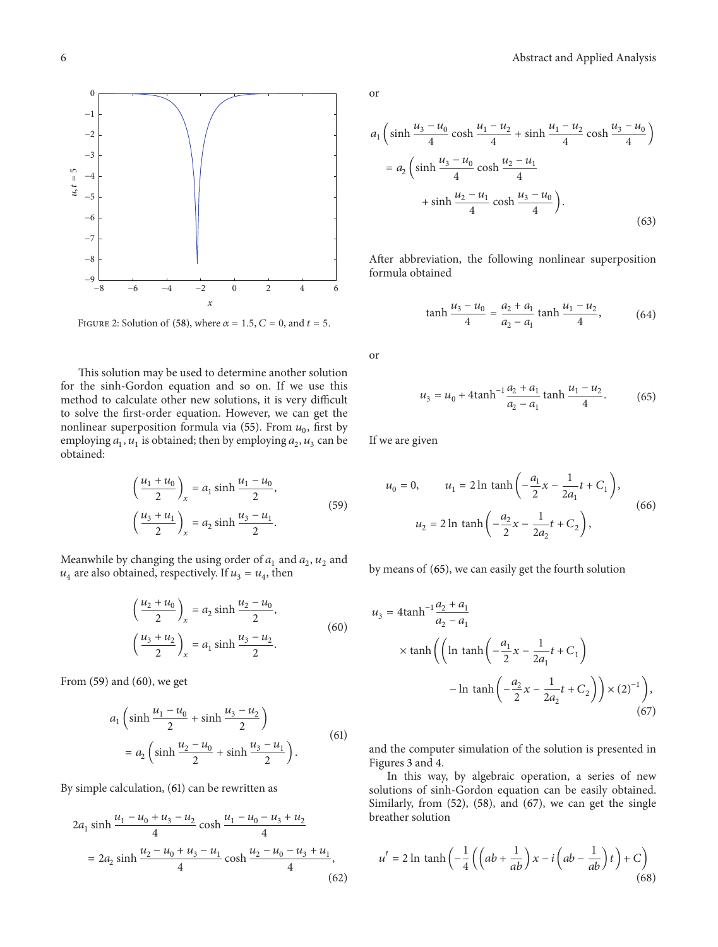

FIGURE 2: Solution of (58), where  $\alpha = 1.5$ ,  $C = 0$ , and  $t = 5$ .

This solution may be used to determine another solution for the sinh-Gordon equation and so on. If we use this method to calculate other new solutions, it is very difficult to solve the first-order equation. However, we can get the nonlinear superposition formula via (55). From  $u_0$ , first by employing  $a_1$ ,  $u_1$  is obtained; then by employing  $a_2$ ,  $u_3$  can be obtained:

$$
\left(\frac{u_1 + u_0}{2}\right)_x = a_1 \sinh \frac{u_1 - u_0}{2},
$$
\n
$$
\left(\frac{u_3 + u_1}{2}\right)_x = a_2 \sinh \frac{u_3 - u_1}{2}.
$$
\n(59)

Meanwhile by changing the using order of  $a_1$  and  $a_2$ ,  $u_2$  and  $u_4$  are also obtained, respectively. If  $u_3 = u_4$ , then

$$
\left(\frac{u_2 + u_0}{2}\right)_x = a_2 \sinh \frac{u_2 - u_0}{2},
$$
\n
$$
\left(\frac{u_3 + u_2}{2}\right)_x = a_1 \sinh \frac{u_3 - u_2}{2}.
$$
\n(60)

From (59) and (60), we get

$$
a_1 \left(\sinh \frac{u_1 - u_0}{2} + \sinh \frac{u_3 - u_2}{2}\right)
$$
  
= 
$$
a_2 \left(\sinh \frac{u_2 - u_0}{2} + \sinh \frac{u_3 - u_1}{2}\right).
$$
 (61)

By simple calculation, (61) can be rewritten as

$$
2a_1 \sinh \frac{u_1 - u_0 + u_3 - u_2}{4} \cosh \frac{u_1 - u_0 - u_3 + u_2}{4}
$$
  
= 
$$
2a_2 \sinh \frac{u_2 - u_0 + u_3 - u_1}{4} \cosh \frac{u_2 - u_0 - u_3 + u_1}{4},
$$
 (62)

or

$$
a_1 \left(\sinh \frac{u_3 - u_0}{4} \cosh \frac{u_1 - u_2}{4} + \sinh \frac{u_1 - u_2}{4} \cosh \frac{u_3 - u_0}{4}\right)
$$
  
= 
$$
a_2 \left(\sinh \frac{u_3 - u_0}{4} \cosh \frac{u_2 - u_1}{4} + \sinh \frac{u_2 - u_1}{4} \cosh \frac{u_3 - u_0}{4}\right).
$$
 (63)

After abbreviation, the following nonlinear superposition formula obtained

$$
\tanh\frac{u_3 - u_0}{4} = \frac{a_2 + a_1}{a_2 - a_1} \tanh\frac{u_1 - u_2}{4},\tag{64}
$$

or

$$
u_3 = u_0 + 4 \tanh^{-1} \frac{a_2 + a_1}{a_2 - a_1} \tanh \frac{u_1 - u_2}{4}.
$$
 (65)

If we are given

$$
u_0 = 0, \qquad u_1 = 2 \ln \tanh\left(-\frac{a_1}{2}x - \frac{1}{2a_1}t + C_1\right),
$$
  

$$
u_2 = 2 \ln \tanh\left(-\frac{a_2}{2}x - \frac{1}{2a_2}t + C_2\right),
$$
 (66)

by means of (65), we can easily get the fourth solution

$$
u_3 = 4 \tanh^{-1} \frac{a_2 + a_1}{a_2 - a_1}
$$
  
 
$$
\times \tanh \left( \left( \ln \tanh \left( -\frac{a_1}{2} x - \frac{1}{2a_1} t + C_1 \right) -\ln \tanh \left( -\frac{a_2}{2} x - \frac{1}{2a_2} t + C_2 \right) \right) \times (2)^{-1} \right),
$$
 (67)

and the computer simulation of the solution is presented in Figures 3 and 4.

In this way, by algebraic operation, a series of new solutions of sinh-Gordon equation can be easily obtained. Similarly, from (52), (58), and (67), we can get the single breather solution

$$
u' = 2\ln \tanh\left(-\frac{1}{4}\left(\left(ab + \frac{1}{ab}\right)x - i\left(ab - \frac{1}{ab}\right)t\right) + C\right)
$$
\n(68)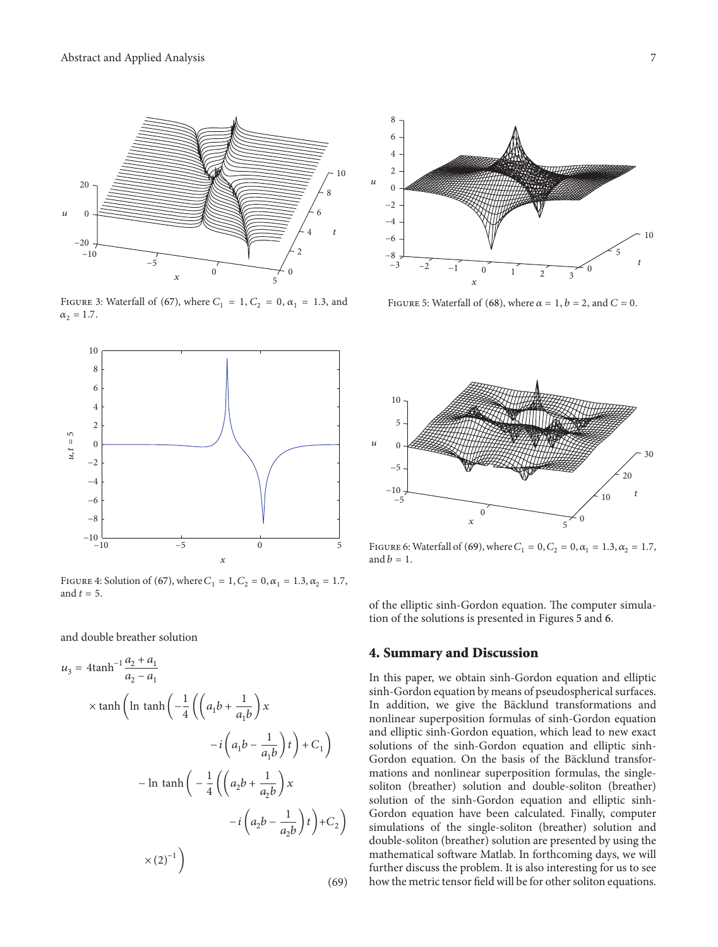

FIGURE 3: Waterfall of (67), where  $C_1 = 1, C_2 = 0, \alpha_1 = 1.3$ , and  $\alpha_2 = 1.7$ .



FIGURE 4: Solution of (67), where  $C_1 = 1, C_2 = 0, \alpha_1 = 1.3, \alpha_2 = 1.7$ , and  $t=5$ .

and double breather solution

$$
u_3 = 4 \tanh^{-1} \frac{a_2 + a_1}{a_2 - a_1}
$$
  
 
$$
\times \tanh\left(\ln \tanh\left(-\frac{1}{4}\left(\left(a_1b + \frac{1}{a_1b}\right)x\right) - i\left(a_1b - \frac{1}{a_1b}\right)t\right) + C_1\right)
$$
  
- 
$$
\ln \tanh\left(-\frac{1}{4}\left(\left(a_2b + \frac{1}{a_2b}\right)x\right) - i\left(a_2b - \frac{1}{a_2b}\right)t\right) + C_2\right)
$$
  

$$
\times (2)^{-1}\right)
$$
  
(69)



FIGURE 5: Waterfall of (68), where  $\alpha = 1$ ,  $b = 2$ , and  $C = 0$ .



FIGURE 6: Waterfall of (69), where  $C_1 = 0, C_2 = 0, \alpha_1 = 1.3, \alpha_2 = 1.7$ , and  $b=1$ .

of the elliptic sinh-Gordon equation. The computer simulation of the solutions is presented in Figures 5 and 6.

#### **4. Summary and Discussion**

In this paper, we obtain sinh-Gordon equation and elliptic sinh-Gordon equation by means of pseudospherical surfaces. In addition, we give the Bäcklund transformations and nonlinear superposition formulas of sinh-Gordon equation and elliptic sinh-Gordon equation, which lead to new exact solutions of the sinh-Gordon equation and elliptic sinh-Gordon equation. On the basis of the Bäcklund transformations and nonlinear superposition formulas, the singlesoliton (breather) solution and double-soliton (breather) solution of the sinh-Gordon equation and elliptic sinh-Gordon equation have been calculated. Finally, computer simulations of the single-soliton (breather) solution and double-soliton (breather) solution are presented by using the mathematical software Matlab. In forthcoming days, we will further discuss the problem. It is also interesting for us to see how the metric tensor field will be for other soliton equations.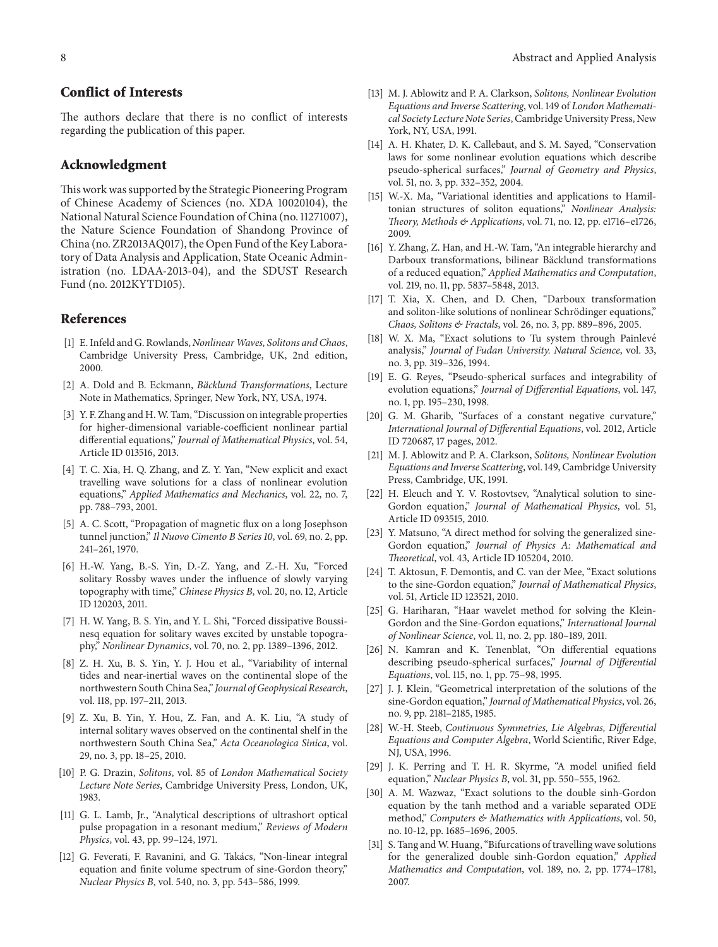## **Conflict of Interests**

The authors declare that there is no conflict of interests regarding the publication of this paper.

#### **Acknowledgment**

This work was supported by the Strategic Pioneering Program of Chinese Academy of Sciences (no. XDA 10020104), the National Natural Science Foundation of China (no. 11271007), the Nature Science Foundation of Shandong Province of China (no. ZR2013AQ017), the Open Fund of the Key Laboratory of Data Analysis and Application, State Oceanic Administration (no. LDAA-2013-04), and the SDUST Research Fund (no. 2012KYTD105).

#### **References**

- [1] E. Infeld and G. Rowlands, *Nonlinear Waves*, Solitons and Chaos, Cambridge University Press, Cambridge, UK, 2nd edition, 2000.
- [2] A. Dold and B. Eckmann, *Bäcklund Transformations*, Lecture Note in Mathematics, Springer, New York, NY, USA, 1974.
- [3] Y. F. Zhang and H. W. Tam, "Discussion on integrable properties for higher-dimensional variable-coefficient nonlinear partial differential equations," *Journal of Mathematical Physics*, vol. 54, Article ID 013516, 2013.
- [4] T. C. Xia, H. Q. Zhang, and Z. Y. Yan, "New explicit and exact travelling wave solutions for a class of nonlinear evolution equations," *Applied Mathematics and Mechanics*, vol. 22, no. 7, pp. 788–793, 2001.
- [5] A. C. Scott, "Propagation of magnetic flux on a long Josephson tunnel junction," *Il Nuovo Cimento B Series 10*, vol. 69, no. 2, pp. 241–261, 1970.
- [6] H.-W. Yang, B.-S. Yin, D.-Z. Yang, and Z.-H. Xu, "Forced solitary Rossby waves under the influence of slowly varying topography with time," *Chinese Physics B*, vol. 20, no. 12, Article ID 120203, 2011.
- [7] H. W. Yang, B. S. Yin, and Y. L. Shi, "Forced dissipative Boussinesq equation for solitary waves excited by unstable topography," *Nonlinear Dynamics*, vol. 70, no. 2, pp. 1389–1396, 2012.
- [8] Z. H. Xu, B. S. Yin, Y. J. Hou et al., "Variability of internal tides and near-inertial waves on the continental slope of the northwestern South China Sea," *Journal of Geophysical Research*, vol. 118, pp. 197–211, 2013.
- [9] Z. Xu, B. Yin, Y. Hou, Z. Fan, and A. K. Liu, "A study of internal solitary waves observed on the continental shelf in the northwestern South China Sea," *Acta Oceanologica Sinica*, vol. 29, no. 3, pp. 18–25, 2010.
- [10] P. G. Drazin, *Solitons*, vol. 85 of *London Mathematical Society Lecture Note Series*, Cambridge University Press, London, UK, 1983.
- [11] G. L. Lamb, Jr., "Analytical descriptions of ultrashort optical pulse propagation in a resonant medium," *Reviews of Modern Physics*, vol. 43, pp. 99–124, 1971.
- [12] G. Feverati, F. Ravanini, and G. Takács, "Non-linear integral equation and finite volume spectrum of sine-Gordon theory," *Nuclear Physics B*, vol. 540, no. 3, pp. 543–586, 1999.
- [13] M. J. Ablowitz and P. A. Clarkson, *Solitons, Nonlinear Evolution Equations and Inverse Scattering*, vol. 149 of *London Mathematical Society Lecture Note Series*, Cambridge University Press, New York, NY, USA, 1991.
- [14] A. H. Khater, D. K. Callebaut, and S. M. Sayed, "Conservation laws for some nonlinear evolution equations which describe pseudo-spherical surfaces," *Journal of Geometry and Physics*, vol. 51, no. 3, pp. 332–352, 2004.
- [15] W.-X. Ma, "Variational identities and applications to Hamiltonian structures of soliton equations," *Nonlinear Analysis: Theory, Methods & Applications*, vol. 71, no. 12, pp. e1716–e1726, 2009.
- [16] Y. Zhang, Z. Han, and H.-W. Tam, "An integrable hierarchy and Darboux transformations, bilinear Bäcklund transformations of a reduced equation," *Applied Mathematics and Computation*, vol. 219, no. 11, pp. 5837–5848, 2013.
- [17] T. Xia, X. Chen, and D. Chen, "Darboux transformation and soliton-like solutions of nonlinear Schrödinger equations," *Chaos, Solitons & Fractals*, vol. 26, no. 3, pp. 889–896, 2005.
- [18] W. X. Ma, "Exact solutions to Tu system through Painlevé analysis," *Journal of Fudan University. Natural Science*, vol. 33, no. 3, pp. 319–326, 1994.
- [19] E. G. Reyes, "Pseudo-spherical surfaces and integrability of evolution equations," *Journal of Differential Equations*, vol. 147, no. 1, pp. 195–230, 1998.
- [20] G. M. Gharib, "Surfaces of a constant negative curvature," *International Journal of Differential Equations*, vol. 2012, Article ID 720687, 17 pages, 2012.
- [21] M. J. Ablowitz and P. A. Clarkson, *Solitons, Nonlinear Evolution Equations and Inverse Scattering*, vol. 149, Cambridge University Press, Cambridge, UK, 1991.
- [22] H. Eleuch and Y. V. Rostovtsev, "Analytical solution to sine-Gordon equation," *Journal of Mathematical Physics*, vol. 51, Article ID 093515, 2010.
- [23] Y. Matsuno, "A direct method for solving the generalized sine-Gordon equation," *Journal of Physics A: Mathematical and Theoretical*, vol. 43, Article ID 105204, 2010.
- [24] T. Aktosun, F. Demontis, and C. van der Mee, "Exact solutions to the sine-Gordon equation," *Journal of Mathematical Physics*, vol. 51, Article ID 123521, 2010.
- [25] G. Hariharan, "Haar wavelet method for solving the Klein-Gordon and the Sine-Gordon equations," *International Journal of Nonlinear Science*, vol. 11, no. 2, pp. 180–189, 2011.
- [26] N. Kamran and K. Tenenblat, "On differential equations describing pseudo-spherical surfaces," *Journal of Differential Equations*, vol. 115, no. 1, pp. 75–98, 1995.
- [27] J. J. Klein, "Geometrical interpretation of the solutions of the sine-Gordon equation," *Journal of Mathematical Physics*, vol. 26, no. 9, pp. 2181–2185, 1985.
- [28] W.-H. Steeb, *Continuous Symmetries, Lie Algebras, Differential Equations and Computer Algebra*, World Scientific, River Edge, NJ, USA, 1996.
- [29] J. K. Perring and T. H. R. Skyrme, "A model unified field equation," *Nuclear Physics B*, vol. 31, pp. 550–555, 1962.
- [30] A. M. Wazwaz, "Exact solutions to the double sinh-Gordon equation by the tanh method and a variable separated ODE method," *Computers & Mathematics with Applications*, vol. 50, no. 10-12, pp. 1685–1696, 2005.
- [31] S. Tang and W. Huang, "Bifurcations of travelling wave solutions for the generalized double sinh-Gordon equation," *Applied Mathematics and Computation*, vol. 189, no. 2, pp. 1774–1781, 2007.